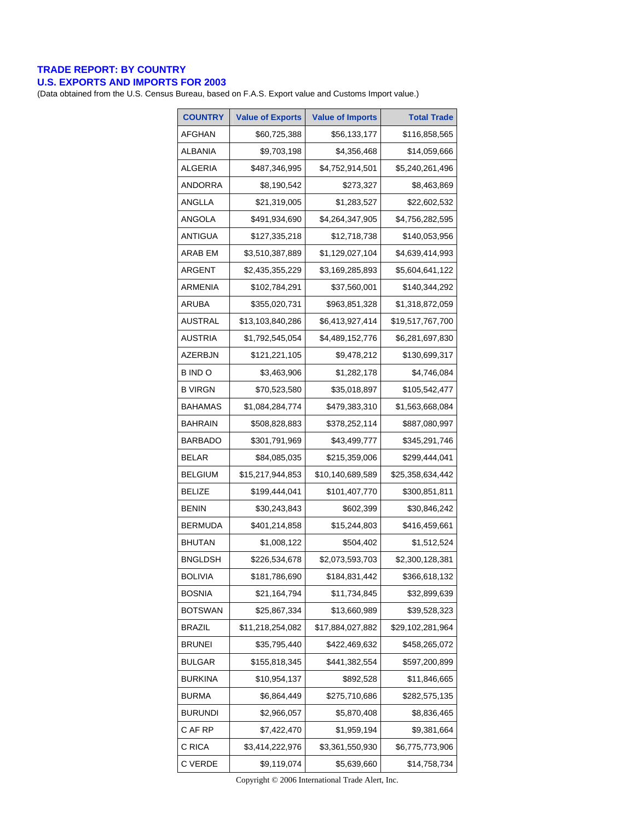## **TRADE REPORT: BY COUNTRY**

## **U.S. EXPORTS AND IMPORTS FOR 2003**

(Data obtained from the U.S. Census Bureau, based on F.A.S. Export value and Customs Import value.)

| <b>COUNTRY</b> | <b>Value of Exports</b> | <b>Value of Imports</b> | <b>Total Trade</b> |
|----------------|-------------------------|-------------------------|--------------------|
| AFGHAN         | \$60,725,388            | \$56,133,177            | \$116,858,565      |
| <b>ALBANIA</b> | \$9,703,198             | \$4,356,468             | \$14,059,666       |
| ALGERIA        | \$487,346,995           | \$4,752,914,501         | \$5,240,261,496    |
| <b>ANDORRA</b> | \$8,190,542             | \$273,327               | \$8,463,869        |
| ANGLLA         | \$21,319,005            | \$1,283,527             | \$22,602,532       |
| ANGOLA         | \$491,934,690           | \$4,264,347,905         | \$4,756,282,595    |
| ANTIGUA        | \$127,335,218           | \$12,718,738            | \$140,053,956      |
| <b>ARAB EM</b> | \$3,510,387,889         | \$1,129,027,104         | \$4,639,414,993    |
| ARGENT         | \$2,435,355,229         | \$3,169,285,893         | \$5,604,641,122    |
| ARMENIA        | \$102,784,291           | \$37,560,001            | \$140,344,292      |
| ARUBA          | \$355,020,731           | \$963,851,328           | \$1,318,872,059    |
| <b>AUSTRAL</b> | \$13,103,840,286        | \$6,413,927,414         | \$19,517,767,700   |
| AUSTRIA        | \$1,792,545,054         | \$4,489,152,776         | \$6,281,697,830    |
| AZERBJN        | \$121,221,105           | \$9,478,212             | \$130,699,317      |
| B IND O        | \$3,463,906             | \$1,282,178             | \$4,746,084        |
| B VIRGN        | \$70,523,580            | \$35,018,897            | \$105,542,477      |
| <b>BAHAMAS</b> | \$1,084,284,774         | \$479,383,310           | \$1,563,668,084    |
| BAHRAIN        | \$508,828,883           | \$378,252,114           | \$887,080,997      |
| <b>BARBADO</b> | \$301,791,969           | \$43,499,777            | \$345,291,746      |
| <b>BELAR</b>   | \$84,085,035            | \$215,359,006           | \$299,444,041      |
| <b>BELGIUM</b> | \$15,217,944,853        | \$10,140,689,589        | \$25,358,634,442   |
| <b>BELIZE</b>  | \$199,444,041           | \$101,407,770           | \$300,851,811      |
| <b>BENIN</b>   | \$30,243,843            | \$602,399               | \$30,846,242       |
| <b>BERMUDA</b> | \$401,214,858           | \$15,244,803            | \$416,459,661      |
| <b>BHUTAN</b>  | \$1,008,122             | \$504,402               | \$1,512,524        |
| BNGLDSH        | \$226,534,678           | \$2,073,593,703         | \$2,300,128,381    |
| <b>BOLIVIA</b> | \$181,786,690           | \$184,831,442           | \$366,618,132      |
| <b>BOSNIA</b>  | \$21,164,794            | \$11,734,845            | \$32,899,639       |
| <b>BOTSWAN</b> | \$25,867,334            | \$13,660,989            | \$39,528,323       |
| <b>BRAZIL</b>  | \$11,218,254,082        | \$17,884,027,882        | \$29,102,281,964   |
| <b>BRUNEI</b>  | \$35,795,440            | \$422,469,632           | \$458,265,072      |
| <b>BULGAR</b>  | \$155,818,345           | \$441,382,554           | \$597,200,899      |
| BURKINA        | \$10,954,137            | \$892,528               | \$11,846,665       |
| <b>BURMA</b>   | \$6,864,449             | \$275,710,686           | \$282,575,135      |
| <b>BURUNDI</b> | \$2,966,057             | \$5,870,408             | \$8,836,465        |
| C AF RP        | \$7,422,470             | \$1,959,194             | \$9,381,664        |
| C RICA         | \$3,414,222,976         | \$3,361,550,930         | \$6,775,773,906    |
| C VERDE        | \$9,119,074             | \$5,639,660             | \$14,758,734       |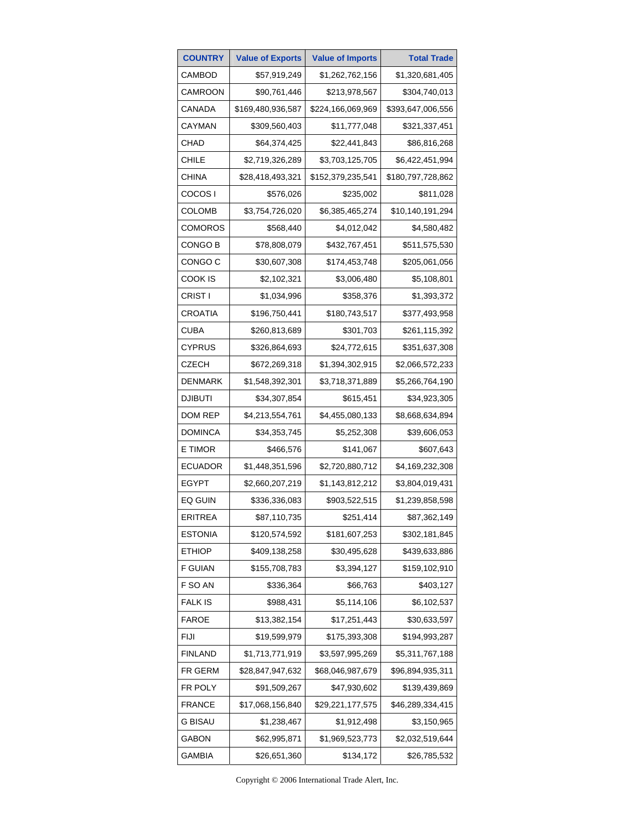| <b>COUNTRY</b> | <b>Value of Exports</b> | <b>Value of Imports</b> | <b>Total Trade</b> |
|----------------|-------------------------|-------------------------|--------------------|
| CAMBOD         | \$57,919,249            | \$1,262,762,156         | \$1,320,681,405    |
| CAMROON        | \$90,761,446            | \$213,978,567           | \$304,740,013      |
| CANADA         | \$169,480,936,587       | \$224,166,069,969       | \$393,647,006,556  |
| CAYMAN         | \$309,560,403           | \$11,777,048            | \$321,337,451      |
| CHAD           | \$64,374,425            | \$22,441,843            | \$86,816,268       |
| CHILE          | \$2,719,326,289         | \$3,703,125,705         | \$6,422,451,994    |
| CHINA          | \$28,418,493,321        | \$152,379,235,541       | \$180,797,728,862  |
| COCOS I        | \$576,026               | \$235,002               | \$811,028          |
| <b>COLOMB</b>  | \$3,754,726,020         | \$6,385,465,274         | \$10,140,191,294   |
| <b>COMOROS</b> | \$568,440               | \$4,012,042             | \$4,580,482        |
| CONGO B        | \$78,808,079            | \$432,767,451           | \$511,575,530      |
| CONGO C        | \$30,607,308            | \$174,453,748           | \$205,061,056      |
| COOK IS        | \$2,102,321             | \$3,006,480             | \$5,108,801        |
| CRIST I        | \$1,034,996             | \$358,376               | \$1,393,372        |
| CROATIA        | \$196,750,441           | \$180,743,517           | \$377,493,958      |
| CUBA           | \$260,813,689           | \$301,703               | \$261,115,392      |
| CYPRUS         | \$326,864,693           | \$24,772,615            | \$351,637,308      |
| CZECH          | \$672,269,318           | \$1,394,302,915         | \$2,066,572,233    |
| <b>DENMARK</b> | \$1,548,392,301         | \$3,718,371,889         | \$5,266,764,190    |
| <b>DJIBUTI</b> | \$34,307,854            | \$615,451               | \$34,923,305       |
| DOM REP        | \$4,213,554,761         | \$4,455,080,133         | \$8,668,634,894    |
| DOMINCA        | \$34,353,745            | \$5,252,308             | \$39,606,053       |
| E TIMOR        | \$466,576               | \$141,067               | \$607,643          |
| ECUADOR        | \$1,448,351,596         | \$2,720,880,712         | \$4,169,232,308    |
| EGYPT          | \$2,660,207,219         | \$1,143,812,212         | \$3,804,019,431    |
| EQ GUIN        | \$336,336,083           | \$903,522,515           | \$1,239,858,598    |
| ERITREA        | \$87,110,735            | \$251,414               | \$87,362,149       |
| <b>ESTONIA</b> | \$120,574,592           | \$181,607,253           | \$302,181,845      |
| <b>ETHIOP</b>  | \$409,138,258           | \$30,495,628            | \$439,633,886      |
| <b>F GUIAN</b> | \$155,708,783           | \$3,394,127             | \$159,102,910      |
| F SO AN        | \$336,364               | \$66,763                | \$403,127          |
| <b>FALK IS</b> | \$988,431               | \$5,114,106             | \$6,102,537        |
| <b>FAROE</b>   | \$13,382,154            | \$17,251,443            | \$30,633,597       |
| <b>FIJI</b>    | \$19,599,979            | \$175,393,308           | \$194,993,287      |
| <b>FINLAND</b> | \$1,713,771,919         | \$3,597,995,269         | \$5,311,767,188    |
| FR GERM        | \$28,847,947,632        | \$68,046,987,679        | \$96,894,935,311   |
| FR POLY        | \$91,509,267            | \$47,930,602            | \$139,439,869      |
| <b>FRANCE</b>  | \$17,068,156,840        | \$29,221,177,575        | \$46,289,334,415   |
| <b>G BISAU</b> | \$1,238,467             | \$1,912,498             | \$3,150,965        |
| GABON          | \$62,995,871            | \$1,969,523,773         | \$2,032,519,644    |
| GAMBIA         | \$26,651,360            | \$134,172               | \$26,785,532       |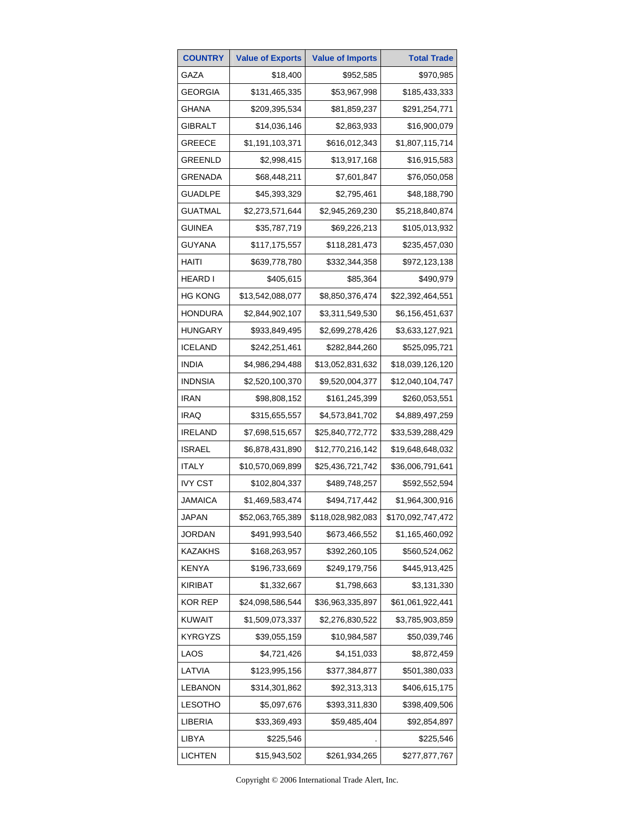| <b>COUNTRY</b> | <b>Value of Exports</b> | <b>Value of Imports</b> | <b>Total Trade</b> |
|----------------|-------------------------|-------------------------|--------------------|
| GAZA           | \$18,400                | \$952,585               | \$970,985          |
| GEORGIA        | \$131,465,335           | \$53,967,998            | \$185,433,333      |
| GHANA          | \$209,395,534           | \$81,859,237            | \$291,254,771      |
| GIBRALT        | \$14,036,146            | \$2,863,933             | \$16,900,079       |
| GREECE         | \$1,191,103,371         | \$616,012,343           | \$1,807,115,714    |
| GREENLD        | \$2,998,415             | \$13,917,168            | \$16,915,583       |
| GRENADA        | \$68,448,211            | \$7,601,847             | \$76,050,058       |
| GUADLPE        | \$45,393,329            | \$2,795,461             | \$48,188,790       |
| GUATMAL        | \$2,273,571,644         | \$2,945,269,230         | \$5,218,840,874    |
| GUINEA         | \$35,787,719            | \$69,226,213            | \$105,013,932      |
| GUYANA         | \$117,175,557           | \$118,281,473           | \$235,457,030      |
| HAITI          | \$639,778,780           | \$332,344,358           | \$972,123,138      |
| HEARD I        | \$405,615               | \$85,364                | \$490,979          |
| HG KONG        | \$13,542,088,077        | \$8,850,376,474         | \$22,392,464,551   |
| HONDURA        | \$2,844,902,107         | \$3,311,549,530         | \$6,156,451,637    |
| HUNGARY        | \$933,849,495           | \$2,699,278,426         | \$3,633,127,921    |
| <b>ICELAND</b> | \$242,251,461           | \$282,844,260           | \$525,095,721      |
| <b>INDIA</b>   | \$4,986,294,488         | \$13,052,831,632        | \$18,039,126,120   |
| INDNSIA        | \$2,520,100,370         | \$9,520,004,377         | \$12,040,104,747   |
| <b>IRAN</b>    | \$98,808,152            | \$161,245,399           | \$260,053,551      |
| IRAQ           | \$315,655,557           | \$4,573,841,702         | \$4,889,497,259    |
| <b>IRELAND</b> | \$7,698,515,657         | \$25,840,772,772        | \$33,539,288,429   |
| <b>ISRAEL</b>  | \$6,878,431,890         | \$12,770,216,142        | \$19,648,648,032   |
| <b>ITALY</b>   | \$10,570,069,899        | \$25,436,721,742        | \$36,006,791,641   |
| <b>IVY CST</b> | \$102,804,337           | \$489,748,257           | \$592,552,594      |
| JAMAICA        | \$1,469,583,474         | \$494,717,442           | \$1,964,300,916    |
| JAPAN          | \$52,063,765,389        | \$118,028,982,083       | \$170,092,747,472  |
| <b>JORDAN</b>  | \$491,993,540           | \$673,466,552           | \$1,165,460,092    |
| KAZAKHS        | \$168,263,957           | \$392,260,105           | \$560,524,062      |
| <b>KENYA</b>   | \$196,733,669           | \$249,179,756           | \$445,913,425      |
| KIRIBAT        | \$1,332,667             | \$1,798,663             | \$3,131,330        |
| KOR REP        | \$24,098,586,544        | \$36,963,335,897        | \$61,061,922,441   |
| <b>KUWAIT</b>  | \$1,509,073,337         | \$2,276,830,522         | \$3,785,903,859    |
| <b>KYRGYZS</b> | \$39,055,159            | \$10,984,587            | \$50,039,746       |
| LAOS           | \$4,721,426             | \$4,151,033             | \$8,872,459        |
| LATVIA         | \$123,995,156           | \$377,384,877           | \$501,380,033      |
| <b>LEBANON</b> | \$314,301,862           | \$92,313,313            | \$406,615,175      |
| <b>LESOTHO</b> | \$5,097,676             | \$393,311,830           | \$398,409,506      |
| LIBERIA        | \$33,369,493            | \$59,485,404            | \$92,854,897       |
| LIBYA          | \$225,546               |                         | \$225,546          |
| <b>LICHTEN</b> | \$15,943,502            | \$261,934,265           | \$277,877,767      |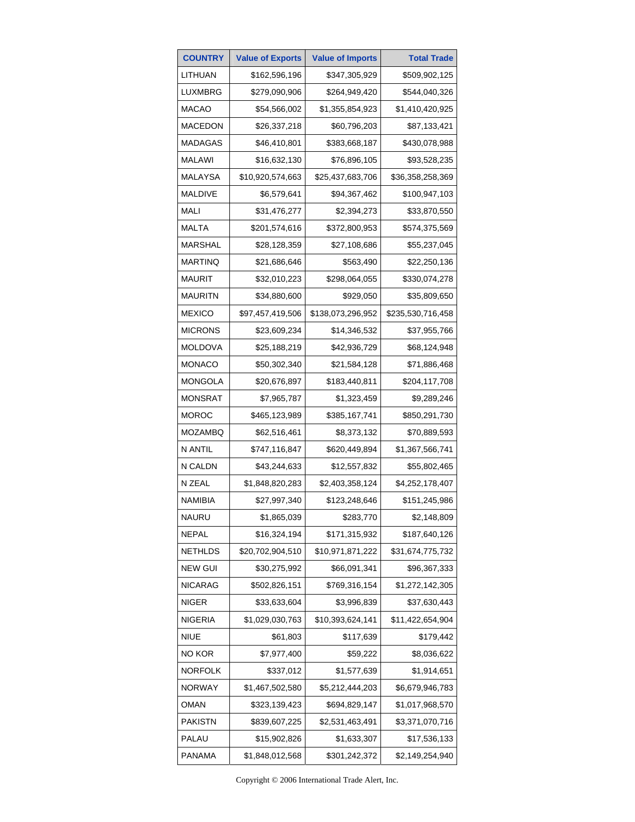| <b>COUNTRY</b> | <b>Value of Exports</b> | <b>Value of Imports</b> | <b>Total Trade</b> |
|----------------|-------------------------|-------------------------|--------------------|
| LITHUAN        | \$162,596,196           | \$347,305,929           | \$509,902,125      |
| LUXMBRG        | \$279,090,906           | \$264,949,420           | \$544,040,326      |
| <b>MACAO</b>   | \$54,566,002            | \$1,355,854,923         | \$1,410,420,925    |
| MACEDON        | \$26,337,218            | \$60,796,203            | \$87,133,421       |
| MADAGAS        | \$46,410,801            | \$383,668,187           | \$430,078,988      |
| MALAWI         | \$16,632,130            | \$76,896,105            | \$93,528,235       |
| <b>MALAYSA</b> | \$10,920,574,663        | \$25,437,683,706        | \$36,358,258,369   |
| MALDIVE        | \$6,579,641             | \$94,367,462            | \$100,947,103      |
| MALI           | \$31,476,277            | \$2,394,273             | \$33,870,550       |
| MALTA          | \$201,574,616           | \$372,800,953           | \$574,375,569      |
| MARSHAL        | \$28,128,359            | \$27,108,686            | \$55,237,045       |
| <b>MARTINQ</b> | \$21,686,646            | \$563,490               | \$22,250,136       |
| MAURIT         | \$32,010,223            | \$298,064,055           | \$330,074,278      |
| <b>MAURITN</b> | \$34,880,600            | \$929,050               | \$35,809,650       |
| <b>MEXICO</b>  | \$97,457,419,506        | \$138,073,296,952       | \$235,530,716,458  |
| <b>MICRONS</b> | \$23,609,234            | \$14,346,532            | \$37,955,766       |
| MOLDOVA        | \$25,188,219            | \$42,936,729            | \$68,124,948       |
| <b>MONACO</b>  | \$50,302,340            | \$21,584,128            | \$71,886,468       |
| MONGOLA        | \$20,676,897            | \$183,440,811           | \$204,117,708      |
| <b>MONSRAT</b> | \$7,965,787             | \$1,323,459             | \$9,289,246        |
| <b>MOROC</b>   | \$465,123,989           | \$385,167,741           | \$850,291,730      |
| <b>MOZAMBQ</b> | \$62,516,461            | \$8,373,132             | \$70,889,593       |
| N ANTIL        | \$747,116,847           | \$620,449,894           | \$1,367,566,741    |
| N CALDN        | \$43,244,633            | \$12,557,832            | \$55,802,465       |
| N ZEAL         | \$1,848,820,283         | \$2,403,358,124         | \$4,252,178,407    |
| NAMIBIA        | \$27,997,340            | \$123,248,646           | \$151,245,986      |
| NAURU          | \$1,865,039             | \$283,770               | \$2,148,809        |
| NEPAL          | \$16,324,194            | \$171,315,932           | \$187,640,126      |
| <b>NETHLDS</b> | \$20,702,904,510        | \$10,971,871,222        | \$31,674,775,732   |
| <b>NEW GUI</b> | \$30,275,992            | \$66,091,341            | \$96,367,333       |
| <b>NICARAG</b> | \$502,826,151           | \$769,316,154           | \$1,272,142,305    |
| <b>NIGER</b>   | \$33,633,604            | \$3,996,839             | \$37,630,443       |
| <b>NIGERIA</b> | \$1,029,030,763         | \$10,393,624,141        | \$11,422,654,904   |
| <b>NIUE</b>    | \$61,803                | \$117,639               | \$179,442          |
| NO KOR         | \$7,977,400             | \$59,222                | \$8,036,622        |
| <b>NORFOLK</b> | \$337,012               | \$1,577,639             | \$1,914,651        |
| <b>NORWAY</b>  | \$1,467,502,580         | \$5,212,444,203         | \$6,679,946,783    |
| oman           | \$323,139,423           | \$694,829,147           | \$1,017,968,570    |
| PAKISTN        | \$839,607,225           | \$2,531,463,491         | \$3,371,070,716    |
| PALAU          | \$15,902,826            | \$1,633,307             | \$17,536,133       |
| <b>PANAMA</b>  | \$1,848,012,568         | \$301,242,372           | \$2,149,254,940    |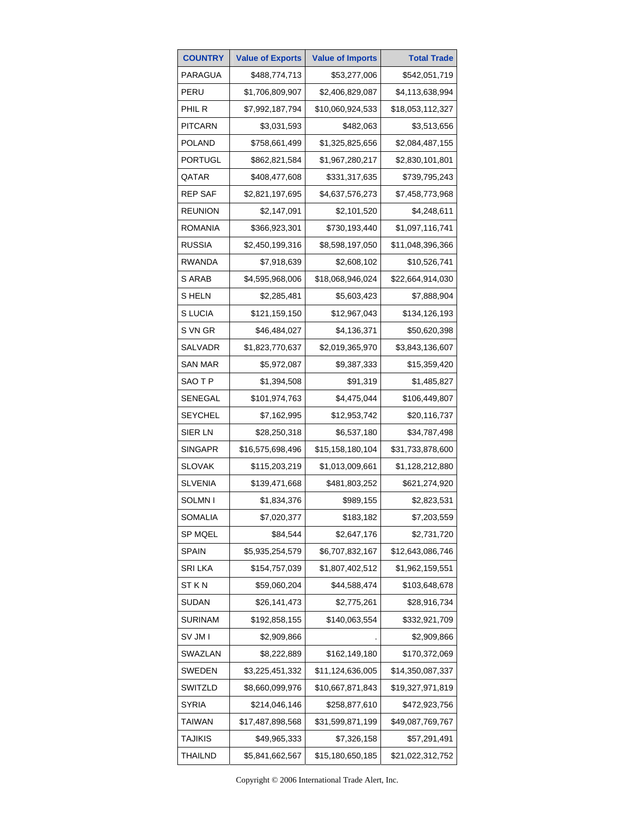| <b>COUNTRY</b> | <b>Value of Exports</b> | <b>Value of Imports</b> | <b>Total Trade</b> |
|----------------|-------------------------|-------------------------|--------------------|
| PARAGUA        | \$488,774,713           | \$53,277,006            | \$542,051,719      |
| PERU           | \$1,706,809,907         | \$2,406,829,087         | \$4,113,638,994    |
| PHIL R         | \$7,992,187,794         | \$10,060,924,533        | \$18,053,112,327   |
| <b>PITCARN</b> | \$3,031,593             | \$482,063               | \$3,513,656        |
| <b>POLAND</b>  | \$758,661,499           | \$1,325,825,656         | \$2,084,487,155    |
| <b>PORTUGL</b> | \$862,821,584           | \$1,967,280,217         | \$2,830,101,801    |
| QATAR          | \$408,477,608           | \$331,317,635           | \$739,795,243      |
| <b>REP SAF</b> | \$2,821,197,695         | \$4,637,576,273         | \$7,458,773,968    |
| <b>REUNION</b> | \$2,147,091             | \$2,101,520             | \$4,248,611        |
| ROMANIA        | \$366,923,301           | \$730,193,440           | \$1,097,116,741    |
| RUSSIA         | \$2,450,199,316         | \$8,598,197,050         | \$11,048,396,366   |
| <b>RWANDA</b>  | \$7,918,639             | \$2,608,102             | \$10,526,741       |
| S ARAB         | \$4,595,968,006         | \$18,068,946,024        | \$22,664,914,030   |
| S HELN         | \$2,285,481             | \$5,603,423             | \$7,888,904        |
| S LUCIA        | \$121,159,150           | \$12,967,043            | \$134,126,193      |
| S VN GR        | \$46,484,027            | \$4,136,371             | \$50,620,398       |
| SALVADR        | \$1,823,770,637         | \$2,019,365,970         | \$3,843,136,607    |
| SAN MAR        | \$5,972,087             | \$9,387,333             | \$15,359,420       |
| SAO T P        | \$1,394,508             | \$91,319                | \$1,485,827        |
| SENEGAL        | \$101,974,763           | \$4,475,044             | \$106,449,807      |
| SEYCHEL        | \$7,162,995             | \$12,953,742            | \$20,116,737       |
| SIER LN        | \$28,250,318            | \$6,537,180             | \$34,787,498       |
| SINGAPR        | \$16,575,698,496        | \$15,158,180,104        | \$31,733,878,600   |
| SLOVAK         | \$115,203,219           | \$1,013,009,661         | \$1,128,212,880    |
| <b>SLVENIA</b> | \$139,471,668           | \$481,803,252           | \$621,274,920      |
| SOLMN I        | \$1,834,376             | \$989,155               | \$2,823,531        |
| SOMALIA        | \$7,020,377             | \$183,182               | \$7,203,559        |
| SP MQEL        | \$84,544                | \$2,647,176             | \$2,731,720        |
| <b>SPAIN</b>   | \$5,935,254,579         | \$6,707,832,167         | \$12,643,086,746   |
| <b>SRILKA</b>  | \$154,757,039           | \$1,807,402,512         | \$1,962,159,551    |
| ST K N         | \$59,060,204            | \$44,588,474            | \$103,648,678      |
| <b>SUDAN</b>   | \$26,141,473            | \$2,775,261             | \$28,916,734       |
| <b>SURINAM</b> | \$192,858,155           | \$140,063,554           | \$332,921,709      |
| SV JM I        | \$2,909,866             |                         | \$2,909,866        |
| SWAZLAN        | \$8,222,889             | \$162,149,180           | \$170,372,069      |
| SWEDEN         | \$3,225,451,332         | \$11,124,636,005        | \$14,350,087,337   |
| SWITZLD        | \$8,660,099,976         | \$10,667,871,843        | \$19,327,971,819   |
| SYRIA          | \$214,046,146           | \$258,877,610           | \$472,923,756      |
| <b>TAIWAN</b>  | \$17,487,898,568        | \$31,599,871,199        | \$49,087,769,767   |
| <b>TAJIKIS</b> | \$49,965,333            | \$7,326,158             | \$57,291,491       |
| <b>THAILND</b> | \$5,841,662,567         | \$15,180,650,185        | \$21,022,312,752   |